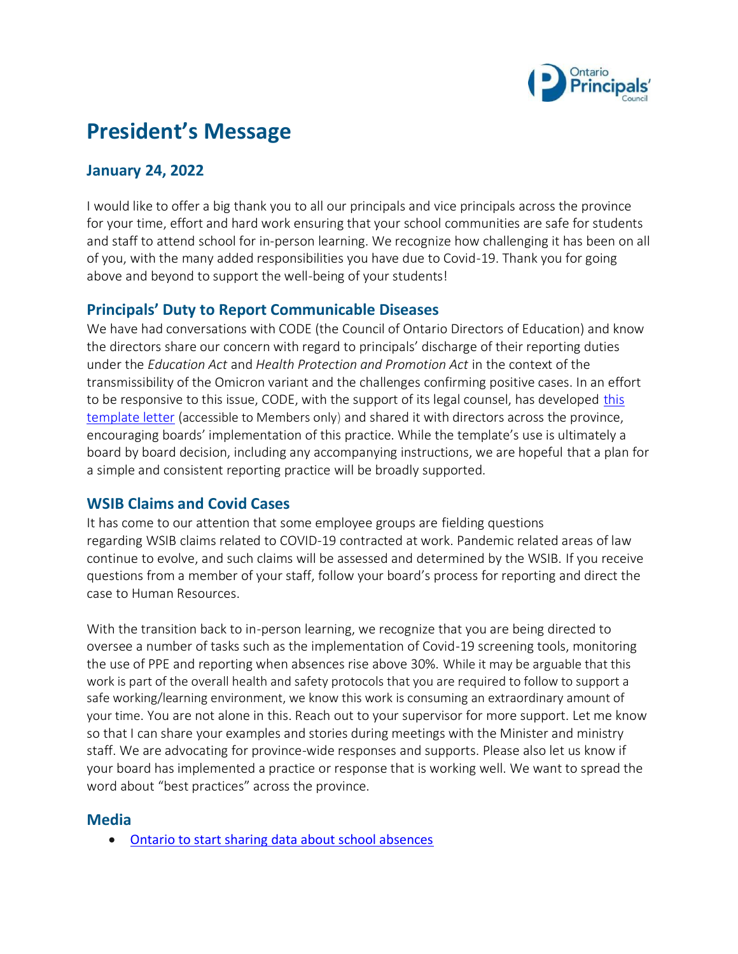

# **President's Message**

## **January 24, 2022**

I would like to offer a big thank you to all our principals and vice principals across the province for your time, effort and hard work ensuring that your school communities are safe for students and staff to attend school for in-person learning. We recognize how challenging it has been on all of you, with the many added responsibilities you have due to Covid-19. Thank you for going above and beyond to support the well-being of your students!

#### **Principals' Duty to Report Communicable Diseases**

We have had conversations with CODE (the Council of Ontario Directors of Education) and know the directors share our concern with regard to principals' discharge of their reporting duties under the *Education Act* and *Health Protection and Promotion Act* in the context of the transmissibility of the Omicron variant and the challenges confirming positive cases. In an effort to be responsive to [this](https://www.principals.ca/en/resourcesGeneral/protected/Government-and-Ministry-News/Letter-To-MOH-from-Prinicipal-.pdf) issue, CODE, with the support of its legal counsel, has developed this [template letter](https://www.principals.ca/en/resourcesGeneral/protected/Government-and-Ministry-News/Letter-To-MOH-from-Prinicipal-.pdf) (accessible to Members only) and shared it with directors across the province, encouraging boards' implementation of this practice. While the template's use is ultimately a board by board decision, including any accompanying instructions, we are hopeful that a plan for a simple and consistent reporting practice will be broadly supported.

#### **WSIB Claims and Covid Cases**

It has come to our attention that some employee groups are fielding questions regarding WSIB claims related to COVID-19 contracted at work. Pandemic related areas of law continue to evolve, and such claims will be assessed and determined by the WSIB. If you receive questions from a member of your staff, follow your board's process for reporting and direct the case to Human Resources.

With the transition back to in-person learning, we recognize that you are being directed to oversee a number of tasks such as the implementation of Covid-19 screening tools, monitoring the use of PPE and reporting when absences rise above 30%. While it may be arguable that this work is part of the overall health and safety protocols that you are required to follow to support a safe working/learning environment, we know this work is consuming an extraordinary amount of your time. You are not alone in this. Reach out to your supervisor for more support. Let me know so that I can share your examples and stories during meetings with the Minister and ministry staff. We are advocating for province-wide responses and supports. Please also let us know if your board has implemented a practice or response that is working well. We want to spread the word about "best practices" across the province.

#### **Media**

• [Ontario to start sharing data about school absences](https://globalnews.ca/news/8533553/ontario-school-data-absences-covid-omicron/)